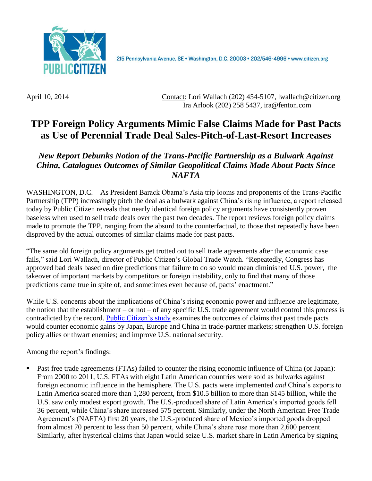

215 Pennsylvania Avenue, SE · Washington, D.C. 20003 · 202/546-4996 · www.citizen.org

April 10, 2014 Contact: Lori Wallach [\(202\) 454-5107,](tel:%28202%29%20454-5107) lwallach@citizen.org Ira Arlook (202) 258 5437, ira@fenton.com

## **TPP Foreign Policy Arguments Mimic False Claims Made for Past Pacts as Use of Perennial Trade Deal Sales-Pitch-of-Last-Resort Increases**

*New Report Debunks Notion of the Trans-Pacific Partnership as a Bulwark Against China, Catalogues Outcomes of Similar Geopolitical Claims Made About Pacts Since NAFTA*

WASHINGTON, D.C. – As President Barack Obama's Asia trip looms and proponents of the Trans-Pacific Partnership (TPP) increasingly pitch the deal as a bulwark against China's rising influence, a report released today by Public Citizen reveals that nearly identical foreign policy arguments have consistently proven baseless when used to sell trade deals over the past two decades. The report reviews foreign policy claims made to promote the TPP, ranging from the absurd to the counterfactual, to those that repeatedly have been disproved by the actual outcomes of similar claims made for past pacts.

"The same old foreign policy arguments get trotted out to sell trade agreements after the economic case fails," said Lori Wallach, director of Public Citizen's Global Trade Watch. "Repeatedly, Congress has approved bad deals based on dire predictions that failure to do so would mean diminished U.S. power, the takeover of important markets by competitors or foreign instability, only to find that many of those predictions came true in spite of, and sometimes even because of, pacts' enactment."

While U.S. concerns about the implications of China's rising economic power and influence are legitimate, the notion that the establishment – or not – of any specific U.S. trade agreement would control this process is contradicted by the record. [Public Citizen's](http://www.citizen.org/documents/TPP-foreign-policy.pdf) study examines the outcomes of claims that past trade pacts would counter economic gains by Japan, Europe and China in trade-partner markets; strengthen U.S. foreign policy allies or thwart enemies; and improve U.S. national security.

Among the report's findings:

 Past free trade agreements (FTAs) failed to counter the rising economic influence of China (or Japan): From 2000 to 2011, U.S. FTAs with eight Latin American countries were sold as bulwarks against foreign economic influence in the hemisphere. The U.S. pacts were implemented *and* China's exports to Latin America soared more than 1,280 percent, from \$10.5 billion to more than \$145 billion, while the U.S. saw only modest export growth. The U.S.-produced share of Latin America's imported goods fell 36 percent, while China's share increased 575 percent. Similarly, under the North American Free Trade Agreement's (NAFTA) first 20 years, the U.S.-produced share of Mexico's imported goods dropped from almost 70 percent to less than 50 percent, while China's share rose more than 2,600 percent. Similarly, after hysterical claims that Japan would seize U.S. market share in Latin America by signing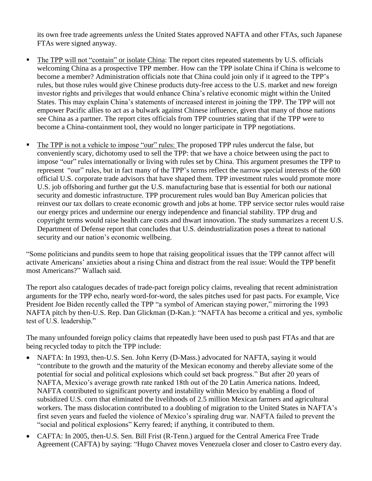its own free trade agreements *unless* the United States approved NAFTA and other FTAs, such Japanese FTAs were signed anyway.

- The TPP will not "contain" or isolate China: The report cites repeated statements by U.S. officials welcoming China as a prospective TPP member. How can the TPP isolate China if China is welcome to become a member? Administration officials note that China could join only if it agreed to the TPP's rules, but those rules would give Chinese products duty-free access to the U.S. market and new foreign investor rights and privileges that would enhance China's relative economic might within the United States. This may explain China's statements of increased interest in joining the TPP. The TPP will not empower Pacific allies to act as a bulwark against Chinese influence, given that many of those nations see China as a partner. The report cites officials from TPP countries stating that if the TPP were to become a China-containment tool, they would no longer participate in TPP negotiations.
- The TPP is not a vehicle to impose "our" rules: The proposed TPP rules undercut the false, but conveniently scary, dichotomy used to sell the TPP: that we have a choice between using the pact to impose "our" rules internationally or living with rules set by China. This argument presumes the TPP to represent "our" rules, but in fact many of the TPP's terms reflect the narrow special interests of the 600 official U.S. corporate trade advisors that have shaped them. TPP investment rules would promote more U.S. job offshoring and further gut the U.S. manufacturing base that is essential for both our national security and domestic infrastructure. TPP procurement rules would ban Buy American policies that reinvest our tax dollars to create economic growth and jobs at home. TPP service sector rules would raise our energy prices and undermine our energy independence and financial stability. TPP drug and copyright terms would raise health care costs and thwart innovation. The study summarizes a recent U.S. Department of Defense report that concludes that U.S. deindustrialization poses a threat to national security and our nation's economic wellbeing.

"Some politicians and pundits seem to hope that raising geopolitical issues that the TPP cannot affect will activate Americans' anxieties about a rising China and distract from the real issue: Would the TPP benefit most Americans?" Wallach said.

The report also catalogues decades of trade-pact foreign policy claims, revealing that recent administration arguments for the TPP echo, nearly word-for-word, the sales pitches used for past pacts. For example, Vice President Joe Biden recently called the TPP "a symbol of American staying power," mirroring the 1993 NAFTA pitch by then-U.S. Rep. Dan Glickman (D-Kan.): "NAFTA has become a critical and yes, symbolic test of U.S. leadership."

The many unfounded foreign policy claims that repeatedly have been used to push past FTAs and that are being recycled today to pitch the TPP include:

- NAFTA: In 1993, then-U.S. Sen. John Kerry (D-Mass.) advocated for NAFTA, saying it would "contribute to the growth and the maturity of the Mexican economy and thereby alleviate some of the potential for social and political explosions which could set back progress." But after 20 years of NAFTA, Mexico's average growth rate ranked 18th out of the 20 Latin America nations. Indeed, NAFTA contributed to significant poverty and instability within Mexico by enabling a flood of subsidized U.S. corn that eliminated the livelihoods of 2.5 million Mexican farmers and agricultural workers. The mass dislocation contributed to a doubling of migration to the United States in NAFTA's first seven years and fueled the violence of Mexico's spiraling drug war. NAFTA failed to prevent the "social and political explosions" Kerry feared; if anything, it contributed to them.
- CAFTA: In 2005, then-U.S. Sen. Bill Frist (R-Tenn.) argued for the Central America Free Trade Agreement (CAFTA) by saying: "Hugo Chavez moves Venezuela closer and closer to Castro every day.